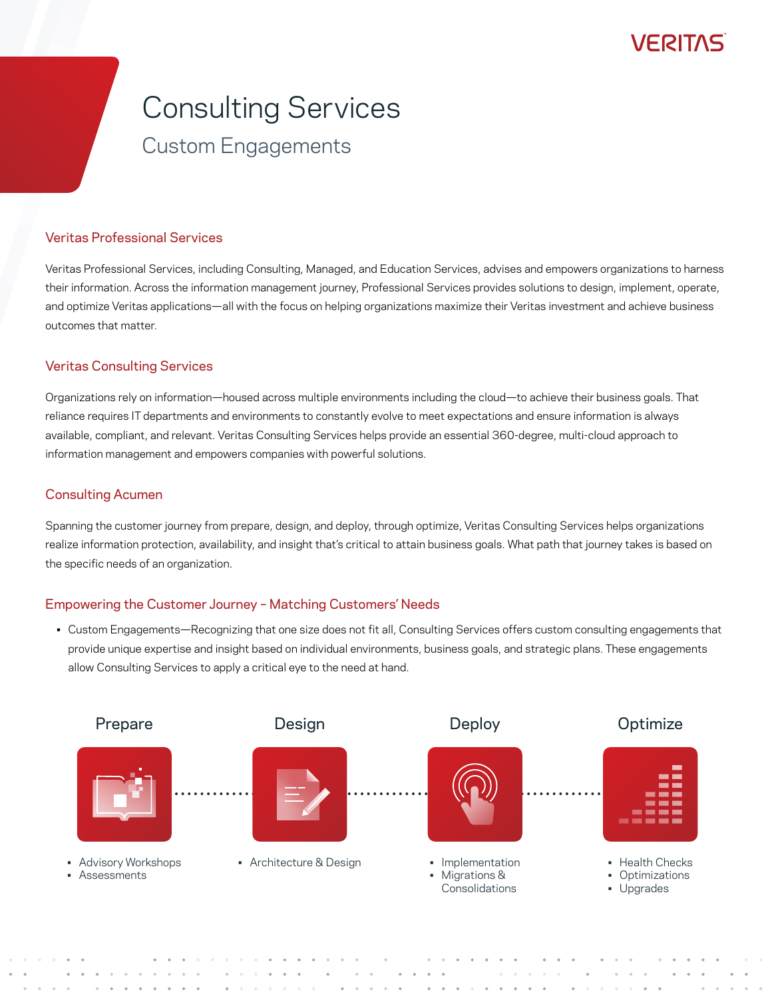## VERIJAS

# Consulting Services

### Custom Engagements

#### Veritas Professional Services

Veritas Professional Services, including Consulting, Managed, and Education Services, advises and empowers organizations to harness their information. Across the information management journey, Professional Services provides solutions to design, implement, operate, and optimize Veritas applications—all with the focus on helping organizations maximize their Veritas investment and achieve business outcomes that matter.

#### Veritas Consulting Services

Organizations rely on information—housed across multiple environments including the cloud—to achieve their business goals. That reliance requires IT departments and environments to constantly evolve to meet expectations and ensure information is always available, compliant, and relevant. Veritas Consulting Services helps provide an essential 360-degree, multi-cloud approach to information management and empowers companies with powerful solutions.

#### Consulting Acumen

Spanning the customer journey from prepare, design, and deploy, through optimize, Veritas Consulting Services helps organizations realize information protection, availability, and insight that's critical to attain business goals. What path that journey takes is based on the specific needs of an organization.

#### Empowering the Customer Journey – Matching Customers' Needs

• Custom Engagements—Recognizing that one size does not fit all, Consulting Services offers custom consulting engagements that provide unique expertise and insight based on individual environments, business goals, and strategic plans. These engagements allow Consulting Services to apply a critical eye to the need at hand.